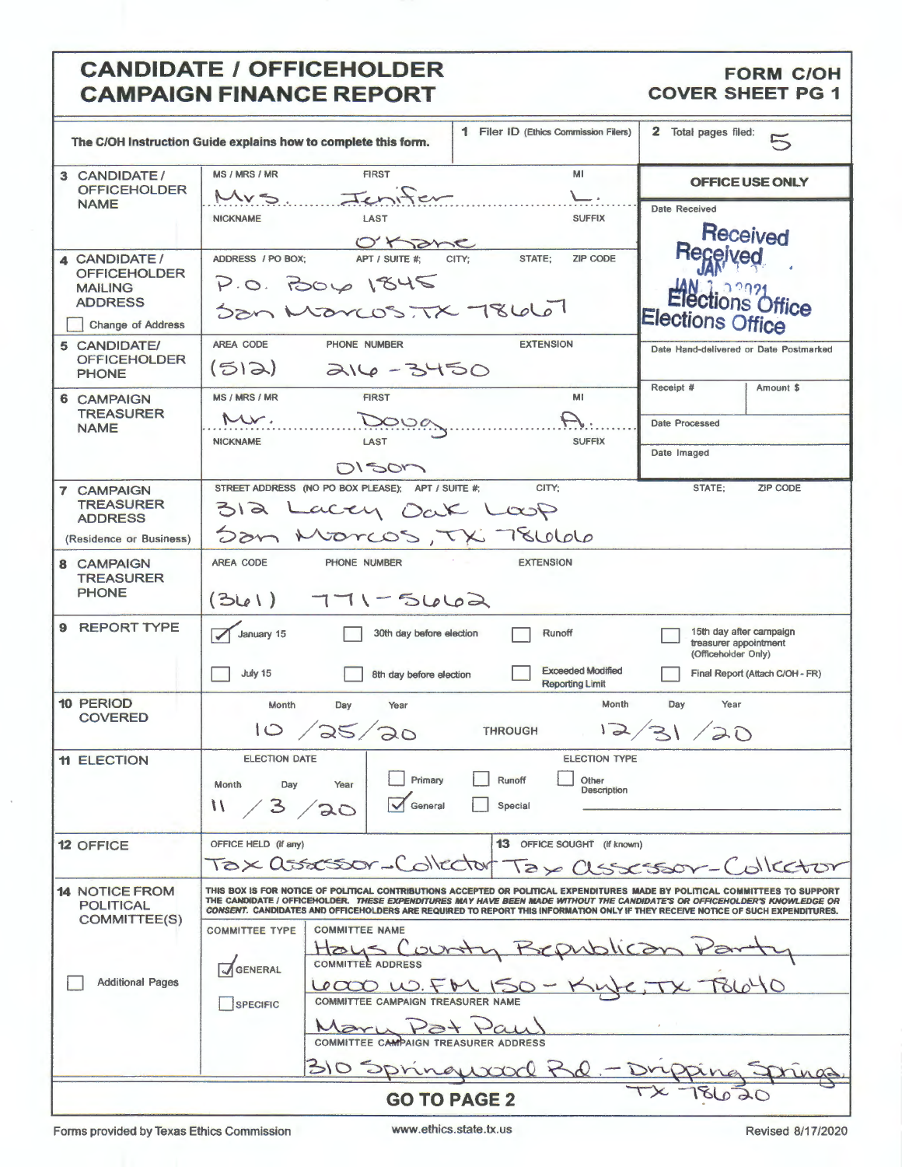#### **CANDIDATE / OFFICEHOLDER** FORM C/OH **CAMPAIGN FINANCE REPORT** COVER SHEET PG 1 **CAMPAIGN FINANCE REPORT**

|                                                                                                                                                                                                                                                                                                                                                                                                                                                                                                                                                                                                                                                                                                                                                   | The C/OH Instruction Guide explains how to complete this form.                                      | 1 Filer ID (Ethics Commission Filers)                                       | $\mathbf{2}$<br>Total pages filed:<br>$\approx$                                                            |  |
|---------------------------------------------------------------------------------------------------------------------------------------------------------------------------------------------------------------------------------------------------------------------------------------------------------------------------------------------------------------------------------------------------------------------------------------------------------------------------------------------------------------------------------------------------------------------------------------------------------------------------------------------------------------------------------------------------------------------------------------------------|-----------------------------------------------------------------------------------------------------|-----------------------------------------------------------------------------|------------------------------------------------------------------------------------------------------------|--|
| 3 CANDIDATE/<br><b>OFFICEHOLDER</b>                                                                                                                                                                                                                                                                                                                                                                                                                                                                                                                                                                                                                                                                                                               | <b>MS / MRS / MR</b><br><b>FIRST</b><br>Jenifer<br>Mrs                                              | MI<br>└                                                                     | OFFICE USE ONLY                                                                                            |  |
| <b>NAME</b>                                                                                                                                                                                                                                                                                                                                                                                                                                                                                                                                                                                                                                                                                                                                       | LAST<br><b>NICKNAME</b><br>Ohane                                                                    | <b>SUFFIX</b>                                                               | <b>Date Received</b><br>Received                                                                           |  |
| 4 CANDIDATE /<br><b>OFFICEHOLDER</b><br><b>MAILING</b><br><b>ADDRESS</b><br><b>Change of Address</b>                                                                                                                                                                                                                                                                                                                                                                                                                                                                                                                                                                                                                                              | ADDRESS / PO BOX:<br>APT / SUITE #:<br>P.0.70061845<br>Son Marcos, TX 78660                         | CITY;<br>STATE;<br><b>ZIP CODE</b>                                          | Received<br>Elections Office<br>Elections Office                                                           |  |
| 5 CANDIDATE/<br><b>OFFICEHOLDER</b><br><b>PHONE</b>                                                                                                                                                                                                                                                                                                                                                                                                                                                                                                                                                                                                                                                                                               | AREA CODE<br>PHONE NUMBER<br>(512)<br>$216 - 3450$                                                  | <b>EXTENSION</b>                                                            | Date Hand-delivered or Date Postmarked<br>Receipt #                                                        |  |
| 6 CAMPAIGN<br><b>TREASURER</b><br><b>NAME</b>                                                                                                                                                                                                                                                                                                                                                                                                                                                                                                                                                                                                                                                                                                     | MS / MRS / MR<br><b>FIRST</b><br>Mr.<br>Doug<br><b>NICKNAME</b><br>LAST<br>DI SOM                   | MI<br><b>SUFFIX</b>                                                         | Amount \$<br>Date Processed<br>Date Imaged                                                                 |  |
| <b>7 CAMPAIGN</b><br><b>TREASURER</b><br><b>ADDRESS</b><br>(Residence or Business)                                                                                                                                                                                                                                                                                                                                                                                                                                                                                                                                                                                                                                                                | STREET ADDRESS (NO PO BOX PLEASE); APT / SUITE #;<br>312<br>accy Dak Loop<br>Son Morcos, TX 78666   | CITY:                                                                       | STATE;<br><b>ZIP CODE</b>                                                                                  |  |
| 8 CAMPAIGN<br><b>TREASURER</b><br><b>PHONE</b>                                                                                                                                                                                                                                                                                                                                                                                                                                                                                                                                                                                                                                                                                                    | <b>AREA CODE</b><br>PHONE NUMBER<br>$(361)$ $771 - 5662$                                            | <b>EXTENSION</b>                                                            |                                                                                                            |  |
| <b>REPORT TYPE</b><br>9                                                                                                                                                                                                                                                                                                                                                                                                                                                                                                                                                                                                                                                                                                                           | January 15<br>30th day before election<br>July 15<br>8th day before election                        | Runoff<br><b>Exceeded Modified</b><br><b>Reporting Limit</b>                | 15th day after campaign<br>treasurer appointment<br>(Officeholder Only)<br>Final Report (Attach C/OH - FR) |  |
| <b>10 PERIOD</b><br><b>COVERED</b>                                                                                                                                                                                                                                                                                                                                                                                                                                                                                                                                                                                                                                                                                                                | Month<br>Day<br>Year<br>125/20<br>10                                                                | Month<br>$\sqrt{2}$<br><b>THROUGH</b>                                       | Year<br>Day<br>31/20                                                                                       |  |
| <b>11 ELECTION</b>                                                                                                                                                                                                                                                                                                                                                                                                                                                                                                                                                                                                                                                                                                                                | <b>ELECTION DATE</b><br>$\Box$ Primary<br>Month<br>Day<br>Year<br>13/20<br>$\mathcal{U}$<br>General | <b>ELECTION TYPE</b><br>$\Box$<br>Runoff<br>Other<br>Description<br>Special |                                                                                                            |  |
| <b>12 OFFICE</b>                                                                                                                                                                                                                                                                                                                                                                                                                                                                                                                                                                                                                                                                                                                                  | OFFICE HELD (If any)<br>Tax assessor-Collector                                                      | 13 OFFICE SOUGHT (If known)                                                 | Tax assessor-Collector                                                                                     |  |
| <b>14 NOTICE FROM</b><br>THIS BOX IS FOR NOTICE OF POLITICAL CONTRIBUTIONS ACCEPTED OR POLITICAL EXPENDITURES MADE BY POLITICAL COMMITTEES TO SUPPORT<br>THE CANDIDATE / OFFICEHOLDER. THESE EXPENDITURES MAY HAVE BEEN MADE WITHOUT THE CANDIDATE'S OR OFFICEHOLDER'S KNOWLEDGE OR<br><b>POLITICAL</b><br>CONSENT. CANDIDATES AND OFFICEHOLDERS ARE REQUIRED TO REPORT THIS INFORMATION ONLY IF THEY RECEIVE NOTICE OF SUCH EXPENDITURES.<br><b>COMMITTEE(S)</b><br><b>COMMITTEE TYPE</b><br><b>COMMITTEE NAME</b><br>Count<br>GENERAL<br><b>Additional Pages</b><br><b>Lecco W. FM 150-</b><br><b>COMMITTEE CAMPAIGN TREASURER NAME</b><br>SPECIFIC<br>Maria<br>COMMITTEE CAMPAIGN TREASURER ADDRESS<br>310 Springwar<br>$0 \nless \nolimits Q$ |                                                                                                     |                                                                             |                                                                                                            |  |
| <b>GO TO PAGE 2</b>                                                                                                                                                                                                                                                                                                                                                                                                                                                                                                                                                                                                                                                                                                                               |                                                                                                     |                                                                             |                                                                                                            |  |

Forms provided by Texas Ethics Commission www.ethics.state.tx.us Revised 8/17/2020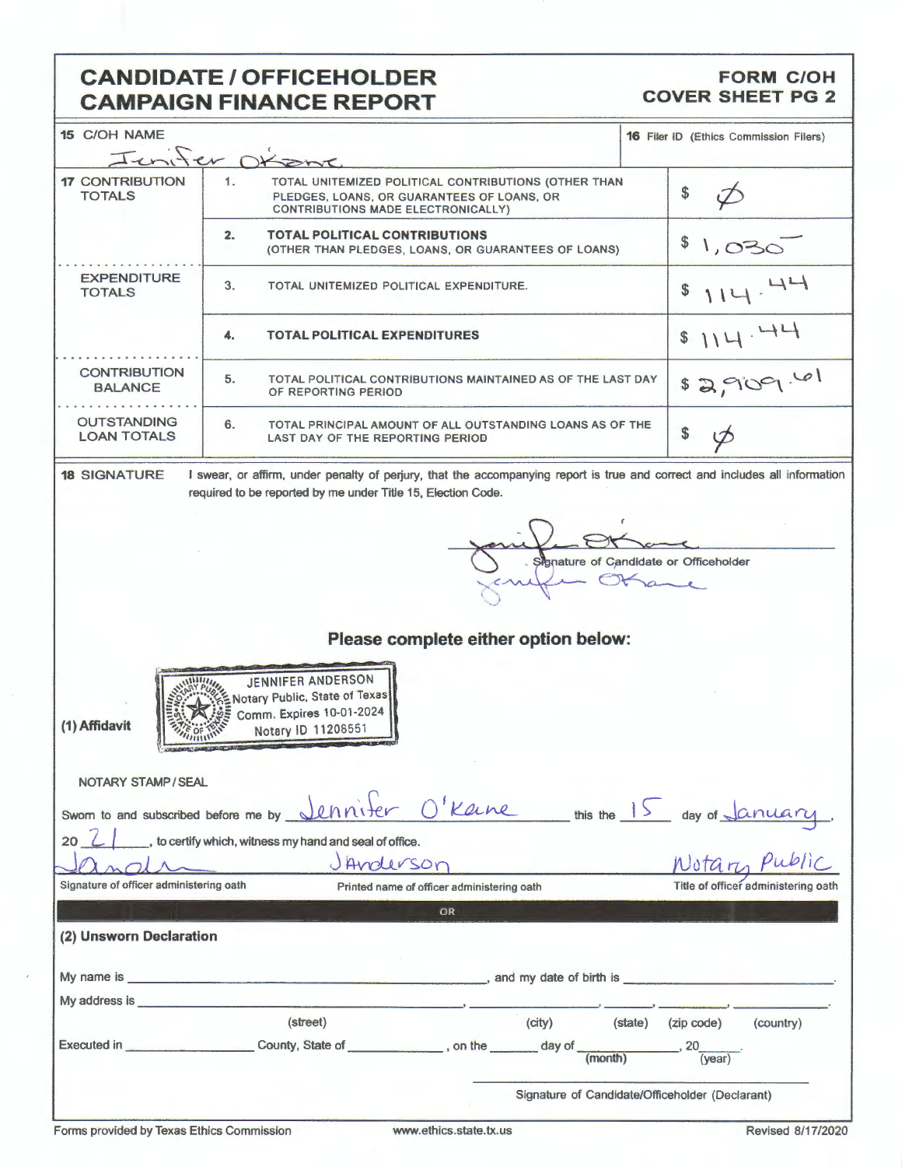# **CANDIDATE / OFFICEHOLDER<br>CAMPAIGN FINANCE REPORT**

## **FORM C/OH**<br>COVER SHEET PG 2

| 15 C/OH NAME                                                                                                                                                                                                   | Jenifer Disant                                                                                                                                                                                                                 | 16 Filer ID (Ethics Commission Filers)          |  |  |
|----------------------------------------------------------------------------------------------------------------------------------------------------------------------------------------------------------------|--------------------------------------------------------------------------------------------------------------------------------------------------------------------------------------------------------------------------------|-------------------------------------------------|--|--|
| <b>17 CONTRIBUTION</b><br><b>TOTALS</b>                                                                                                                                                                        | 1.<br>TOTAL UNITEMIZED POLITICAL CONTRIBUTIONS (OTHER THAN<br>PLEDGES, LOANS, OR GUARANTEES OF LOANS, OR<br>CONTRIBUTIONS MADE ELECTRONICALLY)                                                                                 | \$                                              |  |  |
|                                                                                                                                                                                                                | <b>TOTAL POLITICAL CONTRIBUTIONS</b><br>2.<br>(OTHER THAN PLEDGES, LOANS, OR GUARANTEES OF LOANS)                                                                                                                              | \$<br>1,030                                     |  |  |
| <b>EXPENDITURE</b><br><b>TOTALS</b>                                                                                                                                                                            | 3.<br>TOTAL UNITEMIZED POLITICAL EXPENDITURE.                                                                                                                                                                                  | \$                                              |  |  |
|                                                                                                                                                                                                                | 4.<br><b>TOTAL POLITICAL EXPENDITURES</b>                                                                                                                                                                                      | 114.44<br>$\mathsf{\$}$                         |  |  |
| <b>CONTRIBUTION</b><br><b>BALANCE</b>                                                                                                                                                                          | 5.<br>TOTAL POLITICAL CONTRIBUTIONS MAINTAINED AS OF THE LAST DAY<br>OF REPORTING PERIOD                                                                                                                                       | \$3,909.61                                      |  |  |
| <b>OUTSTANDING</b><br><b>LOAN TOTALS</b>                                                                                                                                                                       | 6.<br>TOTAL PRINCIPAL AMOUNT OF ALL OUTSTANDING LOANS AS OF THE<br>LAST DAY OF THE REPORTING PERIOD                                                                                                                            | \$                                              |  |  |
| <b>18 SIGNATURE</b>                                                                                                                                                                                            | I swear, or affirm, under penalty of perjury, that the accompanying report is true and correct and includes all information<br>required to be reported by me under Title 15, Election Code.                                    |                                                 |  |  |
| Signature of Candidate or Officeholder<br>Please complete either option below:<br><b>JENNIFER ANDERSON</b><br>Notary Public, State of Texas<br>Comm. Expires 10-01-2024<br>(1) Affidavit<br>Notary ID 11208551 |                                                                                                                                                                                                                                |                                                 |  |  |
| NOTARY STAMP / SEAL                                                                                                                                                                                            |                                                                                                                                                                                                                                |                                                 |  |  |
| Swom to and subscribed before me by _                                                                                                                                                                          | O'Karne this the 15 day of January.<br>ice.<br>Motarn Public                                                                                                                                                                   |                                                 |  |  |
| 20                                                                                                                                                                                                             | to certify which, witness my hand and seal of office.                                                                                                                                                                          |                                                 |  |  |
| Signature of officer administering oath                                                                                                                                                                        | JAnderson<br>Printed name of officer administering oath                                                                                                                                                                        | Title of officer administering oath             |  |  |
|                                                                                                                                                                                                                | OR                                                                                                                                                                                                                             |                                                 |  |  |
| (2) Unsworn Declaration                                                                                                                                                                                        |                                                                                                                                                                                                                                |                                                 |  |  |
|                                                                                                                                                                                                                |                                                                                                                                                                                                                                |                                                 |  |  |
|                                                                                                                                                                                                                | My address is a contract of the contract of the contract of the contract of the contract of the contract of the contract of the contract of the contract of the contract of the contract of the contract of the contract of th |                                                 |  |  |
|                                                                                                                                                                                                                | (street)<br>(city)                                                                                                                                                                                                             | (state) (zip code)<br>(country)                 |  |  |
|                                                                                                                                                                                                                |                                                                                                                                                                                                                                |                                                 |  |  |
|                                                                                                                                                                                                                |                                                                                                                                                                                                                                | Signature of Candidate/Officeholder (Declarant) |  |  |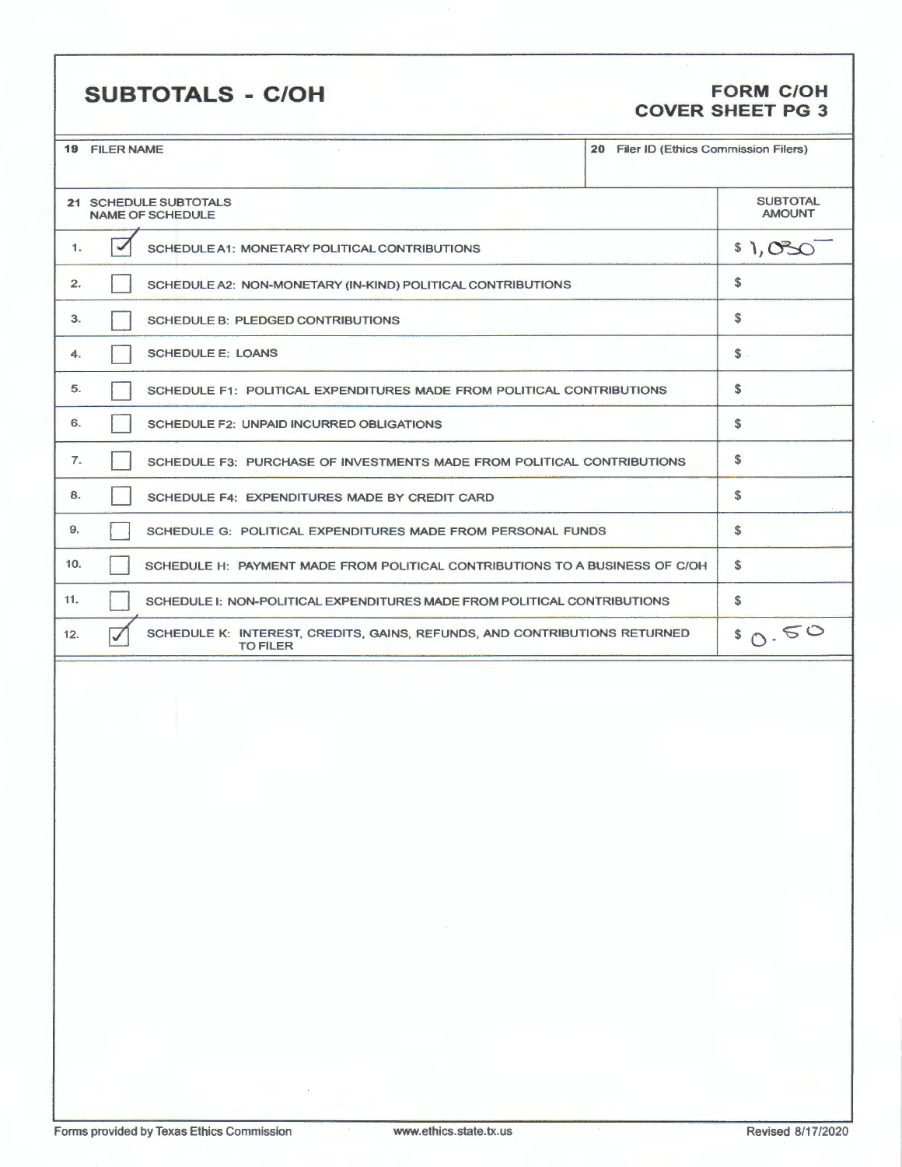### **SUBTOTALS** - **C/OH FORM C/OH**

## **COVER SHEET PG 3**

|                                                  | <b>19 FILER NAME</b>                                                                         | 20 Filer ID (Ethics Commission Filers) |              |
|--------------------------------------------------|----------------------------------------------------------------------------------------------|----------------------------------------|--------------|
|                                                  |                                                                                              |                                        |              |
| 21 SCHEDULE SUBTOTALS<br><b>NAME OF SCHEDULE</b> |                                                                                              | <b>SUBTOTAL</b><br><b>AMOUNT</b>       |              |
|                                                  | $\overline{\mathscr{A}}$<br>1.<br>SCHEDULE A1: MONETARY POLITICAL CONTRIBUTIONS              |                                        | \$1,030      |
|                                                  | 2.<br>SCHEDULE A2: NON-MONETARY (IN-KIND) POLITICAL CONTRIBUTIONS                            |                                        | \$           |
|                                                  | 3.<br>SCHEDULE B: PLEDGED CONTRIBUTIONS                                                      |                                        | \$           |
|                                                  | <b>SCHEDULE E: LOANS</b><br>4.                                                               |                                        | $$$ .        |
|                                                  | 5.<br>SCHEDULE F1: POLITICAL EXPENDITURES MADE FROM POLITICAL CONTRIBUTIONS                  |                                        | $\mathbf{s}$ |
|                                                  | 6.<br>SCHEDULE F2: UNPAID INCURRED OBLIGATIONS                                               |                                        | \$           |
|                                                  | 7.<br>SCHEDULE F3: PURCHASE OF INVESTMENTS MADE FROM POLITICAL CONTRIBUTIONS                 |                                        | \$           |
|                                                  | 8.<br>SCHEDULE F4: EXPENDITURES MADE BY CREDIT CARD                                          |                                        | \$           |
| 9.                                               | SCHEDULE G: POLITICAL EXPENDITURES MADE FROM PERSONAL FUNDS                                  |                                        | \$           |
| 10.                                              | SCHEDULE H: PAYMENT MADE FROM POLITICAL CONTRIBUTIONS TO A BUSINESS OF C/OH                  |                                        | \$           |
| 11.                                              | SCHEDULE I: NON-POLITICAL EXPENDITURES MADE FROM POLITICAL CONTRIBUTIONS                     |                                        | \$           |
| 12.                                              | SCHEDULE K: INTEREST, CREDITS, GAINS, REFUNDS, AND CONTRIBUTIONS RETURNED<br><b>TO FILER</b> |                                        | 80.50        |
|                                                  |                                                                                              |                                        |              |
|                                                  |                                                                                              |                                        |              |
|                                                  |                                                                                              |                                        |              |
|                                                  |                                                                                              |                                        |              |
|                                                  |                                                                                              |                                        |              |
|                                                  |                                                                                              |                                        |              |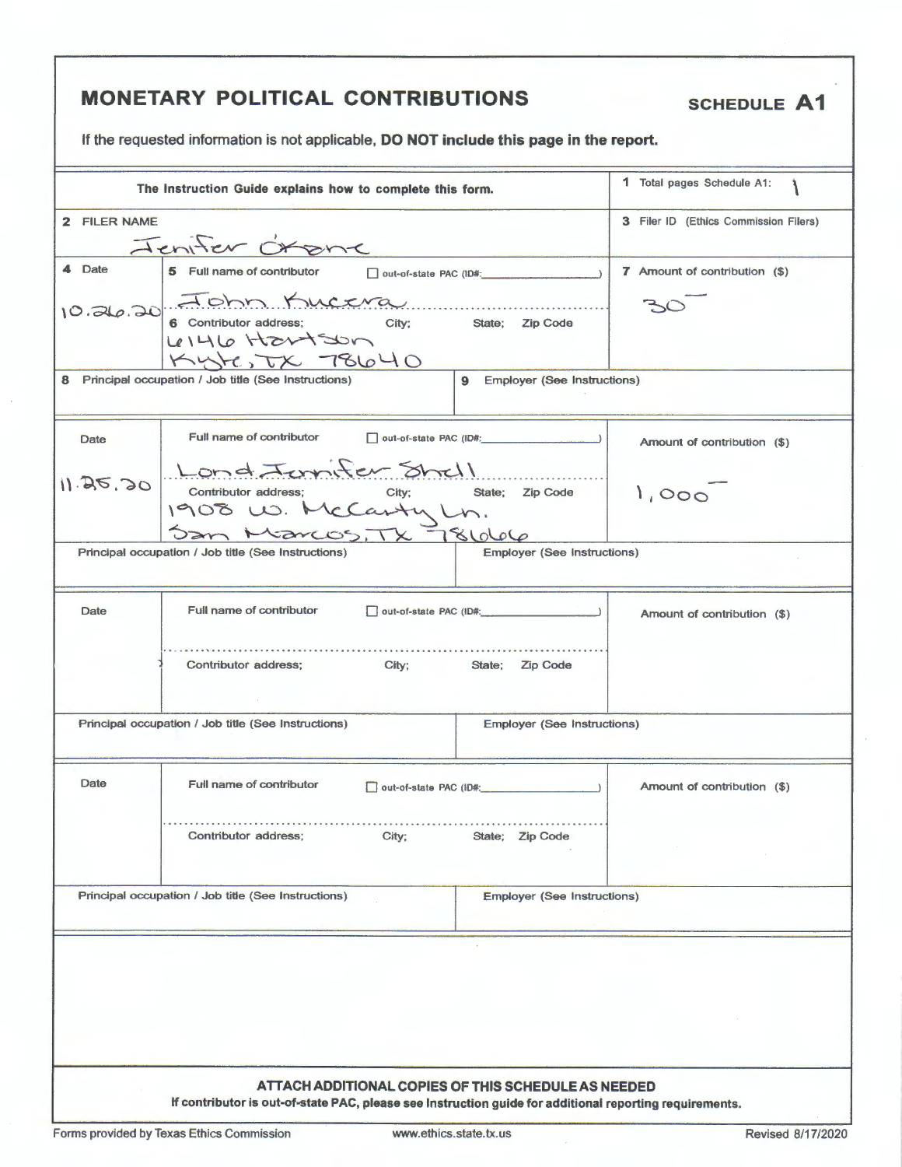| <b>MONETARY POLITICAL CONTRIBUTIONS</b><br><b>SCHEDULE A1</b><br>If the requested information is not applicable, DO NOT include this page in the report.       |                                                                                          |                                         |                                       |
|----------------------------------------------------------------------------------------------------------------------------------------------------------------|------------------------------------------------------------------------------------------|-----------------------------------------|---------------------------------------|
|                                                                                                                                                                |                                                                                          |                                         |                                       |
|                                                                                                                                                                | The Instruction Guide explains how to complete this form.                                |                                         | 1 Total pages Schedule A1:            |
| 2 FILER NAME                                                                                                                                                   |                                                                                          |                                         | 3 Filer ID (Ethics Commission Filers) |
|                                                                                                                                                                | Jenifer Orone                                                                            |                                         |                                       |
| 4 Date                                                                                                                                                         | 5 Full name of contributor                                                               |                                         | 7 Amount of contribution (\$)         |
|                                                                                                                                                                | 10.26.20 6 Contributor address; City; State; Zip Code<br>$4146$ Hartson<br>KytesTX 78640 |                                         |                                       |
|                                                                                                                                                                | 8 Principal occupation / Job title (See Instructions)                                    | <b>Employer (See Instructions)</b><br>9 |                                       |
|                                                                                                                                                                |                                                                                          |                                         |                                       |
| <b>Date</b>                                                                                                                                                    | Full name of contributor                                                                 | out-of-state PAC (ID#: 1999)            | Amount of contribution (\$)           |
|                                                                                                                                                                | 11.25.20 Lond Junifer Shell<br>Contributor address; City; State<br>1908 W. McCarty Ln.   | State; Zip Code                         | 1,000                                 |
|                                                                                                                                                                | San Marcos, TX 781066<br>Principal occupation / Job title (See Instructions)             | <b>Employer (See Instructions)</b>      |                                       |
|                                                                                                                                                                |                                                                                          |                                         |                                       |
| <b>Date</b>                                                                                                                                                    | Full name of contributor                                                                 | out-of-state PAC (ID#:                  | Amount of contribution (\$)           |
|                                                                                                                                                                | Contributor address;<br>City;                                                            | State; Zip Code                         |                                       |
|                                                                                                                                                                | Principal occupation / Job title (See Instructions)                                      | <b>Employer (See Instructions)</b>      |                                       |
| Date                                                                                                                                                           | Full name of contributor                                                                 | out-of-state PAC (ID#:                  | Amount of contribution (\$)           |
|                                                                                                                                                                | Contributor address:<br>City;                                                            | State; Zip Code                         |                                       |
|                                                                                                                                                                | Principal occupation / Job title (See Instructions)                                      | <b>Employer (See Instructions)</b>      |                                       |
|                                                                                                                                                                |                                                                                          |                                         |                                       |
| ATTACH ADDITIONAL COPIES OF THIS SCHEDULE AS NEEDED<br>If contributor is out-of-state PAC, please see Instruction guide for additional reporting requirements. |                                                                                          |                                         |                                       |

Forms provided by Texas Ethics Commission www.ethics.state.tx.us Revised 8/17/2020